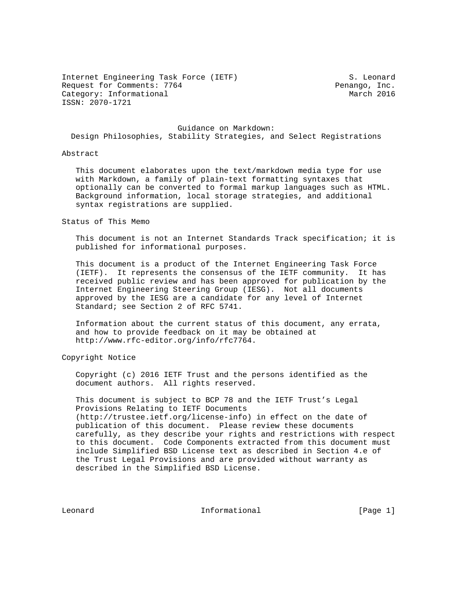Internet Engineering Task Force (IETF) S. Leonard Request for Comments: 7764 Penango, Inc. Category: Informational March 2016 ISSN: 2070-1721

 Guidance on Markdown: Design Philosophies, Stability Strategies, and Select Registrations

#### Abstract

 This document elaborates upon the text/markdown media type for use with Markdown, a family of plain-text formatting syntaxes that optionally can be converted to formal markup languages such as HTML. Background information, local storage strategies, and additional syntax registrations are supplied.

#### Status of This Memo

 This document is not an Internet Standards Track specification; it is published for informational purposes.

 This document is a product of the Internet Engineering Task Force (IETF). It represents the consensus of the IETF community. It has received public review and has been approved for publication by the Internet Engineering Steering Group (IESG). Not all documents approved by the IESG are a candidate for any level of Internet Standard; see Section 2 of RFC 5741.

 Information about the current status of this document, any errata, and how to provide feedback on it may be obtained at http://www.rfc-editor.org/info/rfc7764.

## Copyright Notice

 Copyright (c) 2016 IETF Trust and the persons identified as the document authors. All rights reserved.

 This document is subject to BCP 78 and the IETF Trust's Legal Provisions Relating to IETF Documents (http://trustee.ietf.org/license-info) in effect on the date of publication of this document. Please review these documents carefully, as they describe your rights and restrictions with respect to this document. Code Components extracted from this document must include Simplified BSD License text as described in Section 4.e of the Trust Legal Provisions and are provided without warranty as described in the Simplified BSD License.

Leonard **Informational Informational** [Page 1]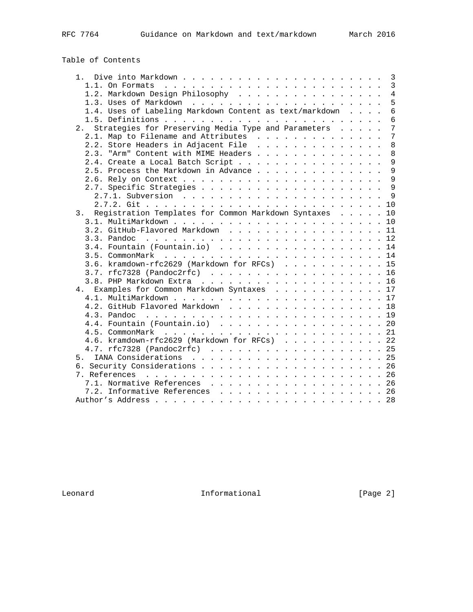# Table of Contents

|                                                              |  | 3               |
|--------------------------------------------------------------|--|-----------------|
|                                                              |  | 3               |
| 1.2. Markdown Design Philosophy                              |  | $\overline{4}$  |
|                                                              |  | $\overline{5}$  |
| 1.4. Uses of Labeling Markdown Content as text/markdown      |  | $6\overline{6}$ |
|                                                              |  | $6\overline{6}$ |
| 2. Strategies for Preserving Media Type and Parameters       |  | $7\overline{ }$ |
| 2.1. Map to Filename and Attributes                          |  | $\overline{7}$  |
| 2.2. Store Headers in Adjacent File                          |  | 8               |
| 2.3. "Arm" Content with MIME Headers                         |  | 8               |
| 2.4. Create a Local Batch Script                             |  | 9               |
| 2.5. Process the Markdown in Advance                         |  | 9               |
|                                                              |  | 9               |
|                                                              |  | 9               |
|                                                              |  | $\mathsf{Q}$    |
|                                                              |  |                 |
| Registration Templates for Common Markdown Syntaxes 10<br>3. |  |                 |
|                                                              |  |                 |
| 3.2. GitHub-Flavored Markdown 11                             |  |                 |
|                                                              |  |                 |
| 3.4. Fountain (Fountain.io) 14                               |  |                 |
|                                                              |  |                 |
| 3.6. kramdown-rfc2629 (Markdown for RFCs) 15                 |  |                 |
| $3.7.$ rfc7328 (Pandoc2rfc) 16                               |  |                 |
|                                                              |  |                 |
| 4. Examples for Common Markdown Syntaxes 17                  |  |                 |
|                                                              |  |                 |
| 4.2. GitHub Flavored Markdown 18                             |  |                 |
|                                                              |  |                 |
| 4.4. Fountain (Fountain.io) 20                               |  |                 |
|                                                              |  |                 |
|                                                              |  |                 |
| 4.6. kramdown-rfc2629 (Markdown for RFCs) 22                 |  |                 |
|                                                              |  |                 |
|                                                              |  |                 |
|                                                              |  |                 |
|                                                              |  |                 |
| 7.1. Normative References 26                                 |  |                 |
| 7.2. Informative References 26                               |  |                 |
|                                                              |  |                 |

Leonard **Informational Informational** [Page 2]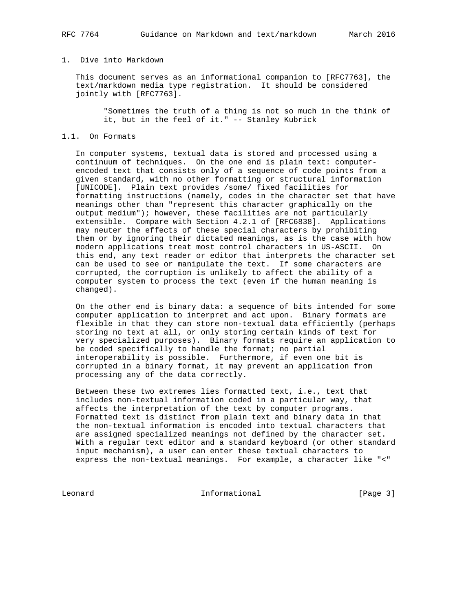## 1. Dive into Markdown

 This document serves as an informational companion to [RFC7763], the text/markdown media type registration. It should be considered jointly with [RFC7763].

 "Sometimes the truth of a thing is not so much in the think of it, but in the feel of it." -- Stanley Kubrick

### 1.1. On Formats

 In computer systems, textual data is stored and processed using a continuum of techniques. On the one end is plain text: computer encoded text that consists only of a sequence of code points from a given standard, with no other formatting or structural information [UNICODE]. Plain text provides /some/ fixed facilities for formatting instructions (namely, codes in the character set that have meanings other than "represent this character graphically on the output medium"); however, these facilities are not particularly extensible. Compare with Section 4.2.1 of [RFC6838]. Applications may neuter the effects of these special characters by prohibiting them or by ignoring their dictated meanings, as is the case with how modern applications treat most control characters in US-ASCII. On this end, any text reader or editor that interprets the character set can be used to see or manipulate the text. If some characters are corrupted, the corruption is unlikely to affect the ability of a computer system to process the text (even if the human meaning is changed).

 On the other end is binary data: a sequence of bits intended for some computer application to interpret and act upon. Binary formats are flexible in that they can store non-textual data efficiently (perhaps storing no text at all, or only storing certain kinds of text for very specialized purposes). Binary formats require an application to be coded specifically to handle the format; no partial interoperability is possible. Furthermore, if even one bit is corrupted in a binary format, it may prevent an application from processing any of the data correctly.

 Between these two extremes lies formatted text, i.e., text that includes non-textual information coded in a particular way, that affects the interpretation of the text by computer programs. Formatted text is distinct from plain text and binary data in that the non-textual information is encoded into textual characters that are assigned specialized meanings not defined by the character set. With a regular text editor and a standard keyboard (or other standard input mechanism), a user can enter these textual characters to express the non-textual meanings. For example, a character like "<"

Leonard **Informational Informational** [Page 3]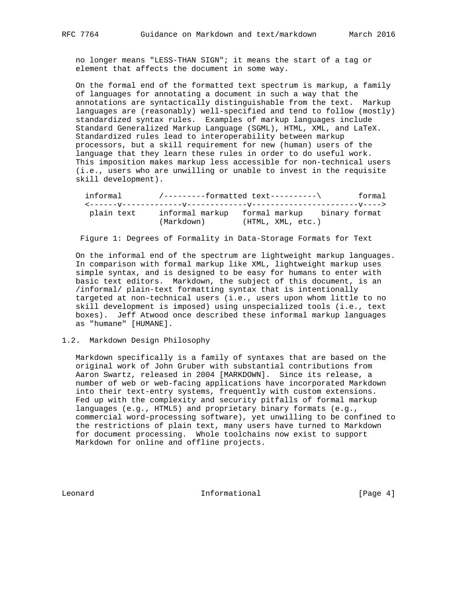no longer means "LESS-THAN SIGN"; it means the start of a tag or element that affects the document in some way.

 On the formal end of the formatted text spectrum is markup, a family of languages for annotating a document in such a way that the annotations are syntactically distinguishable from the text. Markup languages are (reasonably) well-specified and tend to follow (mostly) standardized syntax rules. Examples of markup languages include Standard Generalized Markup Language (SGML), HTML, XML, and LaTeX. Standardized rules lead to interoperability between markup processors, but a skill requirement for new (human) users of the language that they learn these rules in order to do useful work. This imposition makes markup less accessible for non-technical users (i.e., users who are unwilling or unable to invest in the requisite skill development).

| informal   | /---------formatted text----------\ |                                             | formal |
|------------|-------------------------------------|---------------------------------------------|--------|
|            |                                     |                                             |        |
| plain text |                                     | informal markup formal markup binary format |        |
|            | (Markdown)                          | (HTML, XML, etc.)                           |        |

Figure 1: Degrees of Formality in Data-Storage Formats for Text

 On the informal end of the spectrum are lightweight markup languages. In comparison with formal markup like XML, lightweight markup uses simple syntax, and is designed to be easy for humans to enter with basic text editors. Markdown, the subject of this document, is an /informal/ plain-text formatting syntax that is intentionally targeted at non-technical users (i.e., users upon whom little to no skill development is imposed) using unspecialized tools (i.e., text boxes). Jeff Atwood once described these informal markup languages as "humane" [HUMANE].

#### 1.2. Markdown Design Philosophy

 Markdown specifically is a family of syntaxes that are based on the original work of John Gruber with substantial contributions from Aaron Swartz, released in 2004 [MARKDOWN]. Since its release, a number of web or web-facing applications have incorporated Markdown into their text-entry systems, frequently with custom extensions. Fed up with the complexity and security pitfalls of formal markup languages (e.g., HTML5) and proprietary binary formats (e.g., commercial word-processing software), yet unwilling to be confined to the restrictions of plain text, many users have turned to Markdown for document processing. Whole toolchains now exist to support Markdown for online and offline projects.

Leonard **Informational Informational** [Page 4]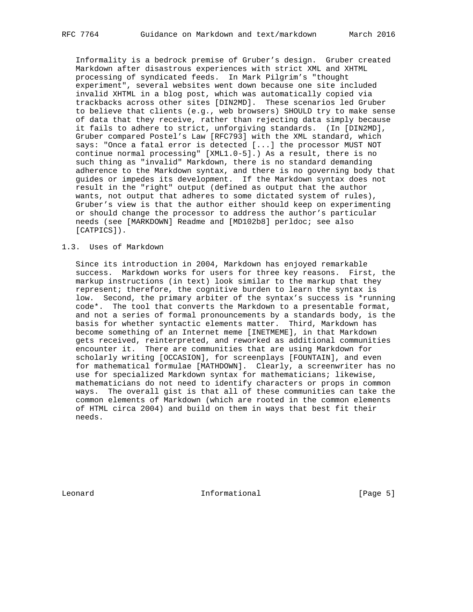Informality is a bedrock premise of Gruber's design. Gruber created Markdown after disastrous experiences with strict XML and XHTML processing of syndicated feeds. In Mark Pilgrim's "thought experiment", several websites went down because one site included invalid XHTML in a blog post, which was automatically copied via trackbacks across other sites [DIN2MD]. These scenarios led Gruber to believe that clients (e.g., web browsers) SHOULD try to make sense of data that they receive, rather than rejecting data simply because it fails to adhere to strict, unforgiving standards. (In [DIN2MD], Gruber compared Postel's Law [RFC793] with the XML standard, which says: "Once a fatal error is detected [...] the processor MUST NOT continue normal processing" [XML1.0-5].) As a result, there is no such thing as "invalid" Markdown, there is no standard demanding adherence to the Markdown syntax, and there is no governing body that guides or impedes its development. If the Markdown syntax does not result in the "right" output (defined as output that the author wants, not output that adheres to some dictated system of rules), Gruber's view is that the author either should keep on experimenting or should change the processor to address the author's particular needs (see [MARKDOWN] Readme and [MD102b8] perldoc; see also [CATPICS]).

#### 1.3. Uses of Markdown

 Since its introduction in 2004, Markdown has enjoyed remarkable success. Markdown works for users for three key reasons. First, the markup instructions (in text) look similar to the markup that they represent; therefore, the cognitive burden to learn the syntax is low. Second, the primary arbiter of the syntax's success is \*running code\*. The tool that converts the Markdown to a presentable format, and not a series of formal pronouncements by a standards body, is the basis for whether syntactic elements matter. Third, Markdown has become something of an Internet meme [INETMEME], in that Markdown gets received, reinterpreted, and reworked as additional communities encounter it. There are communities that are using Markdown for scholarly writing [OCCASION], for screenplays [FOUNTAIN], and even for mathematical formulae [MATHDOWN]. Clearly, a screenwriter has no use for specialized Markdown syntax for mathematicians; likewise, mathematicians do not need to identify characters or props in common ways. The overall gist is that all of these communities can take the common elements of Markdown (which are rooted in the common elements of HTML circa 2004) and build on them in ways that best fit their needs.

Leonard **Informational Informational** [Page 5]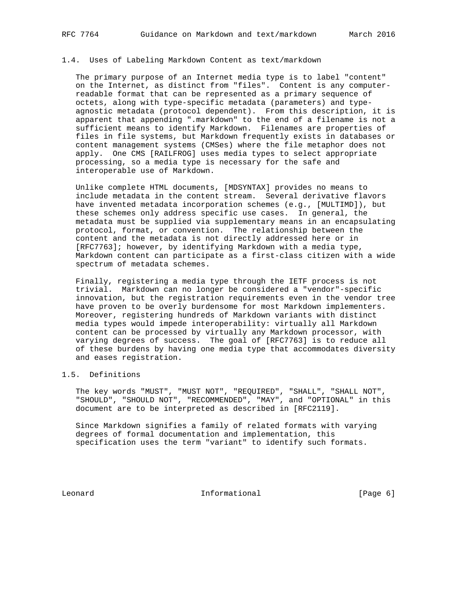#### 1.4. Uses of Labeling Markdown Content as text/markdown

 The primary purpose of an Internet media type is to label "content" on the Internet, as distinct from "files". Content is any computer readable format that can be represented as a primary sequence of octets, along with type-specific metadata (parameters) and type agnostic metadata (protocol dependent). From this description, it is apparent that appending ".markdown" to the end of a filename is not a sufficient means to identify Markdown. Filenames are properties of files in file systems, but Markdown frequently exists in databases or content management systems (CMSes) where the file metaphor does not apply. One CMS [RAILFROG] uses media types to select appropriate processing, so a media type is necessary for the safe and interoperable use of Markdown.

 Unlike complete HTML documents, [MDSYNTAX] provides no means to include metadata in the content stream. Several derivative flavors have invented metadata incorporation schemes (e.g., [MULTIMD]), but these schemes only address specific use cases. In general, the metadata must be supplied via supplementary means in an encapsulating protocol, format, or convention. The relationship between the content and the metadata is not directly addressed here or in [RFC7763]; however, by identifying Markdown with a media type, Markdown content can participate as a first-class citizen with a wide spectrum of metadata schemes.

 Finally, registering a media type through the IETF process is not trivial. Markdown can no longer be considered a "vendor"-specific innovation, but the registration requirements even in the vendor tree have proven to be overly burdensome for most Markdown implementers. Moreover, registering hundreds of Markdown variants with distinct media types would impede interoperability: virtually all Markdown content can be processed by virtually any Markdown processor, with varying degrees of success. The goal of [RFC7763] is to reduce all of these burdens by having one media type that accommodates diversity and eases registration.

# 1.5. Definitions

 The key words "MUST", "MUST NOT", "REQUIRED", "SHALL", "SHALL NOT", "SHOULD", "SHOULD NOT", "RECOMMENDED", "MAY", and "OPTIONAL" in this document are to be interpreted as described in [RFC2119].

 Since Markdown signifies a family of related formats with varying degrees of formal documentation and implementation, this specification uses the term "variant" to identify such formats.

Leonard **Informational Informational** [Page 6]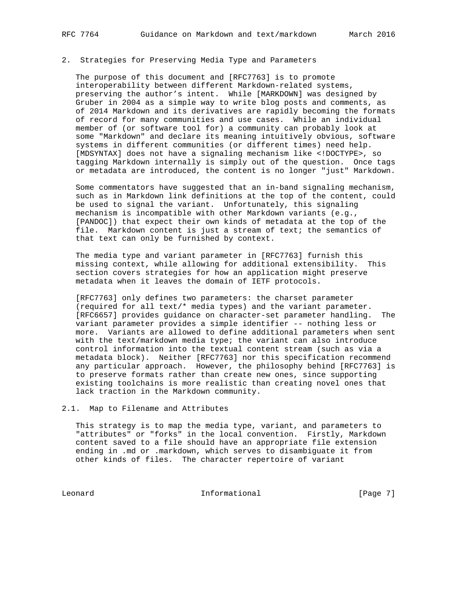## 2. Strategies for Preserving Media Type and Parameters

 The purpose of this document and [RFC7763] is to promote interoperability between different Markdown-related systems, preserving the author's intent. While [MARKDOWN] was designed by Gruber in 2004 as a simple way to write blog posts and comments, as of 2014 Markdown and its derivatives are rapidly becoming the formats of record for many communities and use cases. While an individual member of (or software tool for) a community can probably look at some "Markdown" and declare its meaning intuitively obvious, software systems in different communities (or different times) need help. [MDSYNTAX] does not have a signaling mechanism like <!DOCTYPE>, so tagging Markdown internally is simply out of the question. Once tags or metadata are introduced, the content is no longer "just" Markdown.

 Some commentators have suggested that an in-band signaling mechanism, such as in Markdown link definitions at the top of the content, could be used to signal the variant. Unfortunately, this signaling mechanism is incompatible with other Markdown variants (e.g., [PANDOC]) that expect their own kinds of metadata at the top of the file. Markdown content is just a stream of text; the semantics of that text can only be furnished by context.

 The media type and variant parameter in [RFC7763] furnish this missing context, while allowing for additional extensibility. This section covers strategies for how an application might preserve metadata when it leaves the domain of IETF protocols.

 [RFC7763] only defines two parameters: the charset parameter (required for all text/\* media types) and the variant parameter. [RFC6657] provides guidance on character-set parameter handling. The variant parameter provides a simple identifier -- nothing less or more. Variants are allowed to define additional parameters when sent with the text/markdown media type; the variant can also introduce control information into the textual content stream (such as via a metadata block). Neither [RFC7763] nor this specification recommend any particular approach. However, the philosophy behind [RFC7763] is to preserve formats rather than create new ones, since supporting existing toolchains is more realistic than creating novel ones that lack traction in the Markdown community.

2.1. Map to Filename and Attributes

 This strategy is to map the media type, variant, and parameters to "attributes" or "forks" in the local convention. Firstly, Markdown content saved to a file should have an appropriate file extension ending in .md or .markdown, which serves to disambiguate it from other kinds of files. The character repertoire of variant

Leonard **Informational Informational** [Page 7]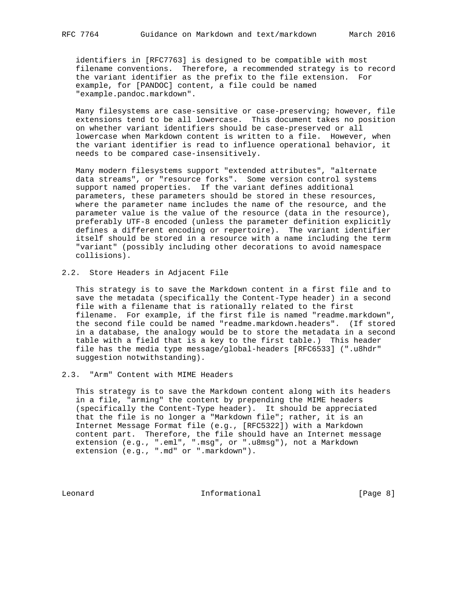identifiers in [RFC7763] is designed to be compatible with most filename conventions. Therefore, a recommended strategy is to record the variant identifier as the prefix to the file extension. For example, for [PANDOC] content, a file could be named "example.pandoc.markdown".

 Many filesystems are case-sensitive or case-preserving; however, file extensions tend to be all lowercase. This document takes no position on whether variant identifiers should be case-preserved or all lowercase when Markdown content is written to a file. However, when the variant identifier is read to influence operational behavior, it needs to be compared case-insensitively.

 Many modern filesystems support "extended attributes", "alternate data streams", or "resource forks". Some version control systems support named properties. If the variant defines additional parameters, these parameters should be stored in these resources, where the parameter name includes the name of the resource, and the parameter value is the value of the resource (data in the resource), preferably UTF-8 encoded (unless the parameter definition explicitly defines a different encoding or repertoire). The variant identifier itself should be stored in a resource with a name including the term "variant" (possibly including other decorations to avoid namespace collisions).

2.2. Store Headers in Adjacent File

 This strategy is to save the Markdown content in a first file and to save the metadata (specifically the Content-Type header) in a second file with a filename that is rationally related to the first filename. For example, if the first file is named "readme.markdown", the second file could be named "readme.markdown.headers". (If stored in a database, the analogy would be to store the metadata in a second table with a field that is a key to the first table.) This header file has the media type message/global-headers [RFC6533] (".u8hdr" suggestion notwithstanding).

# 2.3. "Arm" Content with MIME Headers

 This strategy is to save the Markdown content along with its headers in a file, "arming" the content by prepending the MIME headers (specifically the Content-Type header). It should be appreciated that the file is no longer a "Markdown file"; rather, it is an Internet Message Format file (e.g., [RFC5322]) with a Markdown content part. Therefore, the file should have an Internet message extension (e.g., ".eml", ".msg", or ".u8msg"), not a Markdown extension (e.g., ".md" or ".markdown").

Leonard **Informational Informational** [Page 8]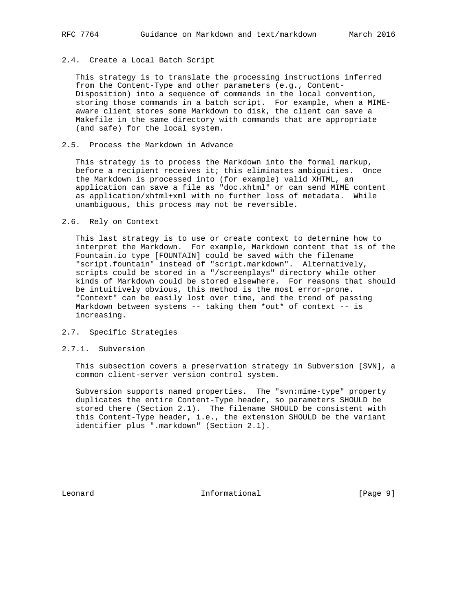## 2.4. Create a Local Batch Script

 This strategy is to translate the processing instructions inferred from the Content-Type and other parameters (e.g., Content- Disposition) into a sequence of commands in the local convention, storing those commands in a batch script. For example, when a MIME aware client stores some Markdown to disk, the client can save a Makefile in the same directory with commands that are appropriate (and safe) for the local system.

### 2.5. Process the Markdown in Advance

 This strategy is to process the Markdown into the formal markup, before a recipient receives it; this eliminates ambiguities. Once the Markdown is processed into (for example) valid XHTML, an application can save a file as "doc.xhtml" or can send MIME content as application/xhtml+xml with no further loss of metadata. While unambiguous, this process may not be reversible.

#### 2.6. Rely on Context

 This last strategy is to use or create context to determine how to interpret the Markdown. For example, Markdown content that is of the Fountain.io type [FOUNTAIN] could be saved with the filename "script.fountain" instead of "script.markdown". Alternatively, scripts could be stored in a "/screenplays" directory while other kinds of Markdown could be stored elsewhere. For reasons that should be intuitively obvious, this method is the most error-prone. "Context" can be easily lost over time, and the trend of passing Markdown between systems -- taking them \*out\* of context -- is increasing.

## 2.7. Specific Strategies

#### 2.7.1. Subversion

 This subsection covers a preservation strategy in Subversion [SVN], a common client-server version control system.

 Subversion supports named properties. The "svn:mime-type" property duplicates the entire Content-Type header, so parameters SHOULD be stored there (Section 2.1). The filename SHOULD be consistent with this Content-Type header, i.e., the extension SHOULD be the variant identifier plus ".markdown" (Section 2.1).

Leonard **Informational Informational** [Page 9]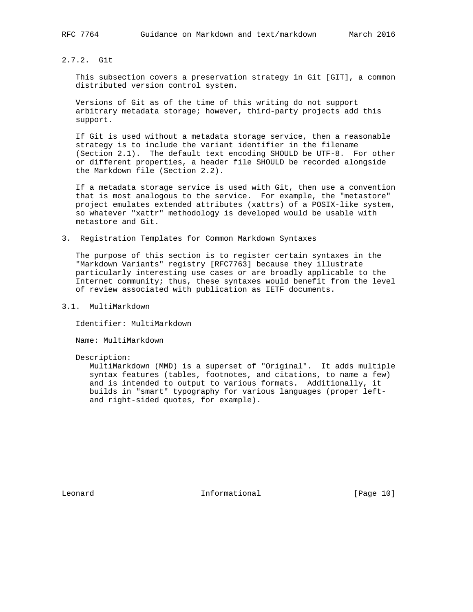2.7.2. Git

 This subsection covers a preservation strategy in Git [GIT], a common distributed version control system.

 Versions of Git as of the time of this writing do not support arbitrary metadata storage; however, third-party projects add this support.

 If Git is used without a metadata storage service, then a reasonable strategy is to include the variant identifier in the filename (Section 2.1). The default text encoding SHOULD be UTF-8. For other or different properties, a header file SHOULD be recorded alongside the Markdown file (Section 2.2).

 If a metadata storage service is used with Git, then use a convention that is most analogous to the service. For example, the "metastore" project emulates extended attributes (xattrs) of a POSIX-like system, so whatever "xattr" methodology is developed would be usable with metastore and Git.

3. Registration Templates for Common Markdown Syntaxes

 The purpose of this section is to register certain syntaxes in the "Markdown Variants" registry [RFC7763] because they illustrate particularly interesting use cases or are broadly applicable to the Internet community; thus, these syntaxes would benefit from the level of review associated with publication as IETF documents.

3.1. MultiMarkdown

Identifier: MultiMarkdown

Name: MultiMarkdown

Description:

 MultiMarkdown (MMD) is a superset of "Original". It adds multiple syntax features (tables, footnotes, and citations, to name a few) and is intended to output to various formats. Additionally, it builds in "smart" typography for various languages (proper left and right-sided quotes, for example).

Leonard **Informational Informational** [Page 10]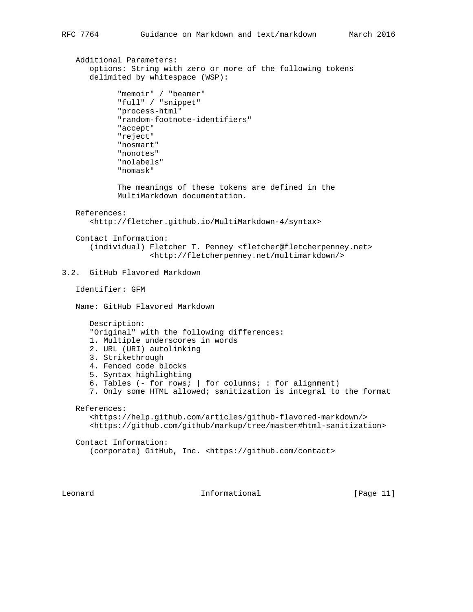```
 Additional Parameters:
       options: String with zero or more of the following tokens
       delimited by whitespace (WSP):
             "memoir" / "beamer"
             "full" / "snippet"
             "process-html"
             "random-footnote-identifiers"
             "accept"
             "reject"
             "nosmart"
             "nonotes"
             "nolabels"
             "nomask"
             The meanings of these tokens are defined in the
             MultiMarkdown documentation.
    References:
       <http://fletcher.github.io/MultiMarkdown-4/syntax>
    Contact Information:
       (individual) Fletcher T. Penney <fletcher@fletcherpenney.net>
                     <http://fletcherpenney.net/multimarkdown/>
3.2. GitHub Flavored Markdown
    Identifier: GFM
   Name: GitHub Flavored Markdown
       Description:
       "Original" with the following differences:
       1. Multiple underscores in words
       2. URL (URI) autolinking
       3. Strikethrough
       4. Fenced code blocks
       5. Syntax highlighting
       6. Tables (- for rows; | for columns; : for alignment)
       7. Only some HTML allowed; sanitization is integral to the format
   References:
       <https://help.github.com/articles/github-flavored-markdown/>
       <https://github.com/github/markup/tree/master#html-sanitization>
    Contact Information:
       (corporate) GitHub, Inc. <https://github.com/contact>
```
Leonard **Informational Informational** [Page 11]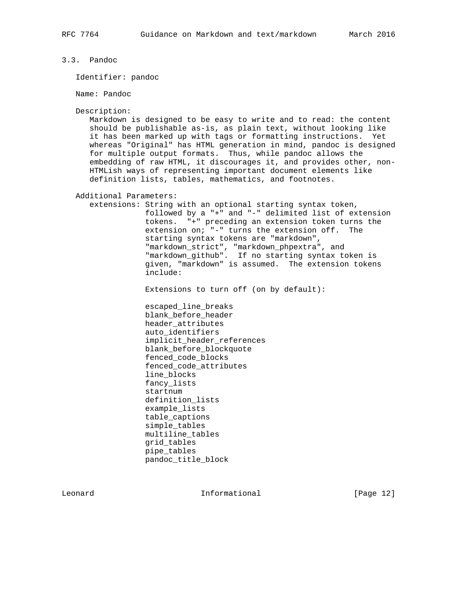3.3. Pandoc

Identifier: pandoc

Name: Pandoc

Description:

 Markdown is designed to be easy to write and to read: the content should be publishable as-is, as plain text, without looking like it has been marked up with tags or formatting instructions. Yet whereas "Original" has HTML generation in mind, pandoc is designed for multiple output formats. Thus, while pandoc allows the embedding of raw HTML, it discourages it, and provides other, non- HTMLish ways of representing important document elements like definition lists, tables, mathematics, and footnotes.

Additional Parameters:

 extensions: String with an optional starting syntax token, followed by a "+" and "-" delimited list of extension tokens. "+" preceding an extension token turns the extension on; "-" turns the extension off. The starting syntax tokens are "markdown", "markdown\_strict", "markdown\_phpextra", and "markdown\_github". If no starting syntax token is given, "markdown" is assumed. The extension tokens include:

Extensions to turn off (on by default):

 escaped\_line\_breaks blank\_before\_header header\_attributes auto\_identifiers implicit\_header\_references blank\_before\_blockquote fenced\_code\_blocks fenced\_code\_attributes line\_blocks fancy\_lists startnum definition\_lists example\_lists table\_captions simple\_tables multiline\_tables grid\_tables pipe\_tables pandoc\_title\_block

Leonard **Informational Informational** [Page 12]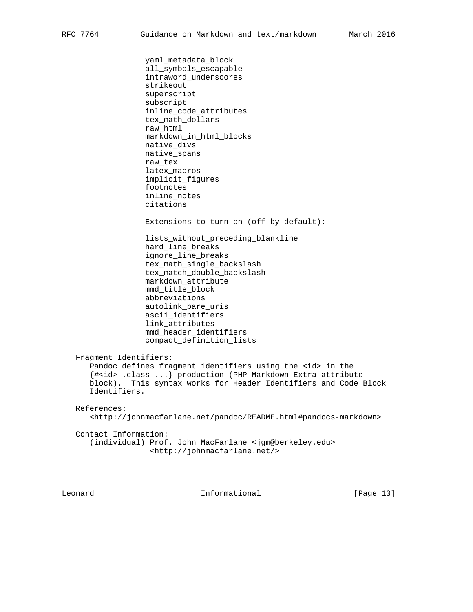yaml\_metadata\_block

 all\_symbols\_escapable intraword\_underscores strikeout superscript subscript inline\_code\_attributes tex\_math\_dollars raw\_html markdown\_in\_html\_blocks native\_divs native\_spans raw\_tex latex\_macros implicit\_figures footnotes inline\_notes citations Extensions to turn on (off by default): lists\_without\_preceding\_blankline hard\_line\_breaks ignore\_line\_breaks tex\_math\_single\_backslash tex\_match\_double\_backslash markdown\_attribute mmd\_title\_block abbreviations autolink\_bare\_uris ascii identifiers link\_attributes mmd\_header\_identifiers compact\_definition\_lists Fragment Identifiers: Pandoc defines fragment identifiers using the <id> in the {#<id> .class ...} production (PHP Markdown Extra attribute block). This syntax works for Header Identifiers and Code Block Identifiers. References: <http://johnmacfarlane.net/pandoc/README.html#pandocs-markdown> Contact Information: (individual) Prof. John MacFarlane <jgm@berkeley.edu>

<http://johnmacfarlane.net/>

Leonard **Informational Informational** [Page 13]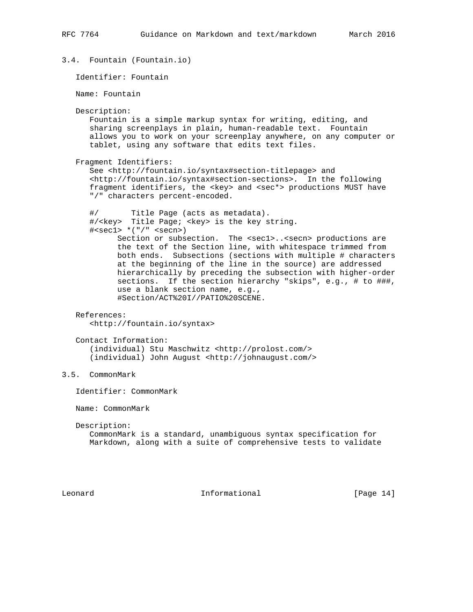```
3.4. Fountain (Fountain.io)
    Identifier: Fountain
   Name: Fountain
   Description:
      Fountain is a simple markup syntax for writing, editing, and
       sharing screenplays in plain, human-readable text. Fountain
       allows you to work on your screenplay anywhere, on any computer or
       tablet, using any software that edits text files.
    Fragment Identifiers:
       See <http://fountain.io/syntax#section-titlepage> and
       <http://fountain.io/syntax#section-sections>. In the following
      fragment identifiers, the <key> and <sec*> productions MUST have
       "/" characters percent-encoded.
       #/ Title Page (acts as metadata).
       #/<key> Title Page; <key> is the key string.
       #<sec1> *("/" <secn>)
           Section or subsection. The <sec1>..<secn> productions are
            the text of the Section line, with whitespace trimmed from
            both ends. Subsections (sections with multiple # characters
            at the beginning of the line in the source) are addressed
            hierarchically by preceding the subsection with higher-order
            sections. If the section hierarchy "skips", e.g., # to ###,
            use a blank section name, e.g.,
             #Section/ACT%20I//PATIO%20SCENE.
   References:
       <http://fountain.io/syntax>
    Contact Information:
       (individual) Stu Maschwitz <http://prolost.com/>
       (individual) John August <http://johnaugust.com/>
3.5. CommonMark
    Identifier: CommonMark
   Name: CommonMark
   Description:
      CommonMark is a standard, unambiguous syntax specification for
      Markdown, along with a suite of comprehensive tests to validate
Leonard Informational Informational [Page 14]
```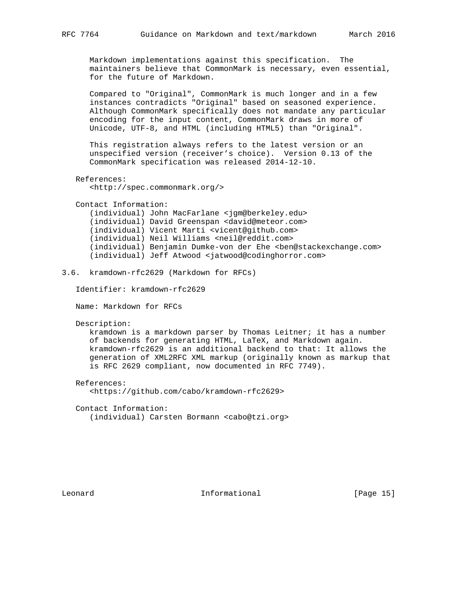Markdown implementations against this specification. The maintainers believe that CommonMark is necessary, even essential, for the future of Markdown.

 Compared to "Original", CommonMark is much longer and in a few instances contradicts "Original" based on seasoned experience. Although CommonMark specifically does not mandate any particular encoding for the input content, CommonMark draws in more of Unicode, UTF-8, and HTML (including HTML5) than "Original".

 This registration always refers to the latest version or an unspecified version (receiver's choice). Version 0.13 of the CommonMark specification was released 2014-12-10.

```
 References:
```
<http://spec.commonmark.org/>

Contact Information:

 (individual) John MacFarlane <jgm@berkeley.edu> (individual) David Greenspan <david@meteor.com> (individual) Vicent Marti <vicent@github.com> (individual) Neil Williams <neil@reddit.com> (individual) Benjamin Dumke-von der Ehe <ben@stackexchange.com> (individual) Jeff Atwood <jatwood@codinghorror.com>

3.6. kramdown-rfc2629 (Markdown for RFCs)

Identifier: kramdown-rfc2629

Name: Markdown for RFCs

Description:

 kramdown is a markdown parser by Thomas Leitner; it has a number of backends for generating HTML, LaTeX, and Markdown again. kramdown-rfc2629 is an additional backend to that: It allows the generation of XML2RFC XML markup (originally known as markup that is RFC 2629 compliant, now documented in RFC 7749).

#### References:

<https://github.com/cabo/kramdown-rfc2629>

Contact Information:

(individual) Carsten Bormann <cabo@tzi.org>

Leonard **Informational Informational** [Page 15]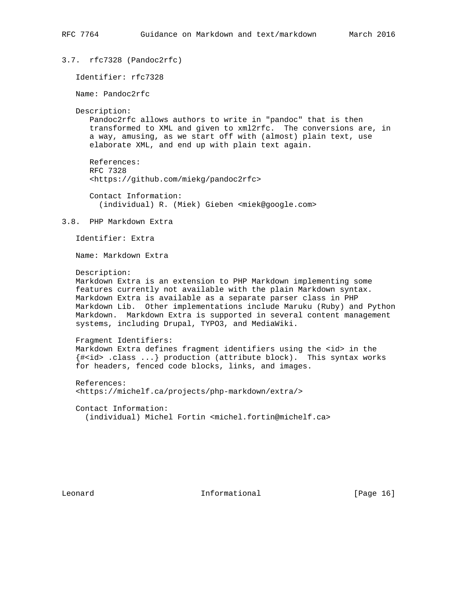```
3.7. rfc7328 (Pandoc2rfc)
    Identifier: rfc7328
   Name: Pandoc2rfc
   Description:
      Pandoc2rfc allows authors to write in "pandoc" that is then
```
 transformed to XML and given to xml2rfc. The conversions are, in a way, amusing, as we start off with (almost) plain text, use elaborate XML, and end up with plain text again.

```
 References:
 RFC 7328
 <https://github.com/miekg/pandoc2rfc>
```
 Contact Information: (individual) R. (Miek) Gieben <miek@google.com>

3.8. PHP Markdown Extra

Identifier: Extra

Name: Markdown Extra

```
 Description:
```
 Markdown Extra is an extension to PHP Markdown implementing some features currently not available with the plain Markdown syntax. Markdown Extra is available as a separate parser class in PHP Markdown Lib. Other implementations include Maruku (Ruby) and Python Markdown. Markdown Extra is supported in several content management systems, including Drupal, TYPO3, and MediaWiki.

```
 Fragment Identifiers:
Markdown Extra defines fragment identifiers using the <id> in the
 {#<id> .class ...} production (attribute block). This syntax works
 for headers, fenced code blocks, links, and images.
```
 References: <https://michelf.ca/projects/php-markdown/extra/>

 Contact Information: (individual) Michel Fortin <michel.fortin@michelf.ca>

Leonard **Informational Informational** [Page 16]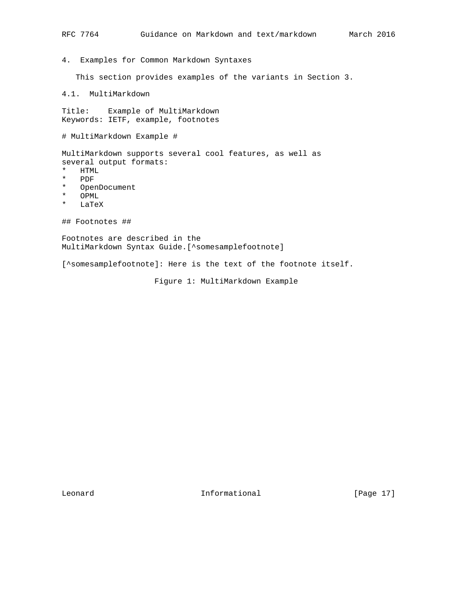4. Examples for Common Markdown Syntaxes

This section provides examples of the variants in Section 3.

```
4.1. MultiMarkdown
```
Title: Example of MultiMarkdown Keywords: IETF, example, footnotes

# MultiMarkdown Example #

MultiMarkdown supports several cool features, as well as several output formats:

- \* HTML<br>\* PDF
- \* PDF
- \* OpenDocument
- \* OPML<br>\* LaTe
- $_{\rm{LaTeX}}$

## Footnotes ##

Footnotes are described in the MultiMarkdown Syntax Guide.[^somesamplefootnote]

[^somesamplefootnote]: Here is the text of the footnote itself.

Figure 1: MultiMarkdown Example

Leonard **Informational Informational** [Page 17]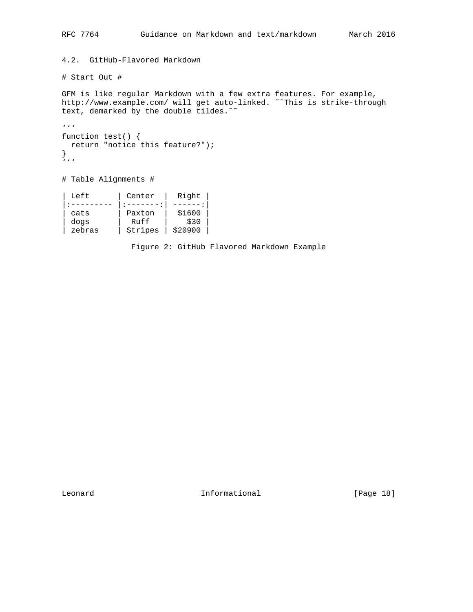```
4.2. GitHub-Flavored Markdown
```

```
# Start Out #
```
GFM is like regular Markdown with a few extra features. For example, http://www.example.com/ will get auto-linked. ˜˜This is strike-through text, demarked by the double tildes.<sup>~</sup>

```
. . .
function test() {
  return "notice this feature?");
}
'''
```
# Table Alignments #

| Left   | Center  | Right   |  |
|--------|---------|---------|--|
|        |         |         |  |
| cats   | Paxton  | \$1600  |  |
| dogs   | Ruff    | \$30    |  |
| zebras | Stripes | \$20900 |  |

Figure 2: GitHub Flavored Markdown Example

Leonard **Informational Informational** [Page 18]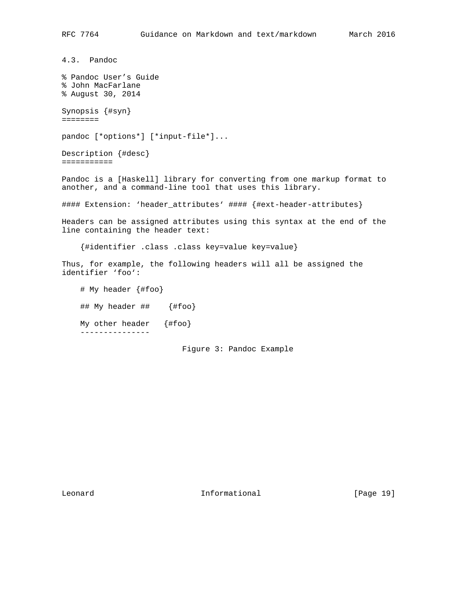4.3. Pandoc % Pandoc User's Guide % John MacFarlane % August 30, 2014 Synopsis {#syn} ======== pandoc [\*options\*] [\*input-file\*]... Description {#desc} =========== Pandoc is a [Haskell] library for converting from one markup format to another, and a command-line tool that uses this library. #### Extension: 'header\_attributes' #### {#ext-header-attributes} Headers can be assigned attributes using this syntax at the end of the line containing the header text: {#identifier .class .class key=value key=value} Thus, for example, the following headers will all be assigned the identifier 'foo': # My header {#foo} ## My header ## {#foo} My other header {#foo} ---------------

Figure 3: Pandoc Example

Leonard Informational [Page 19]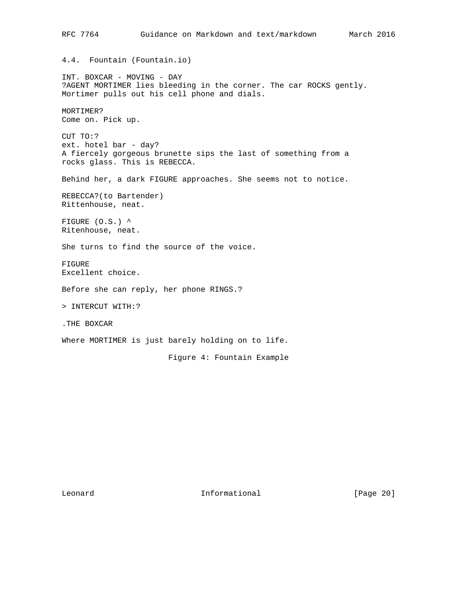RFC 7764 Guidance on Markdown and text/markdown March 2016 4.4. Fountain (Fountain.io) INT. BOXCAR - MOVING - DAY ?AGENT MORTIMER lies bleeding in the corner. The car ROCKS gently. Mortimer pulls out his cell phone and dials. MORTIMER? Come on. Pick up. CUT TO:? ext. hotel bar - day? A fiercely gorgeous brunette sips the last of something from a rocks glass. This is REBECCA. Behind her, a dark FIGURE approaches. She seems not to notice. REBECCA?(to Bartender) Rittenhouse, neat. FIGURE (O.S.) ^ Ritenhouse, neat. She turns to find the source of the voice. FIGURE Excellent choice. Before she can reply, her phone RINGS.? > INTERCUT WITH:? .THE BOXCAR Where MORTIMER is just barely holding on to life. Figure 4: Fountain Example

Leonard Informational [Page 20]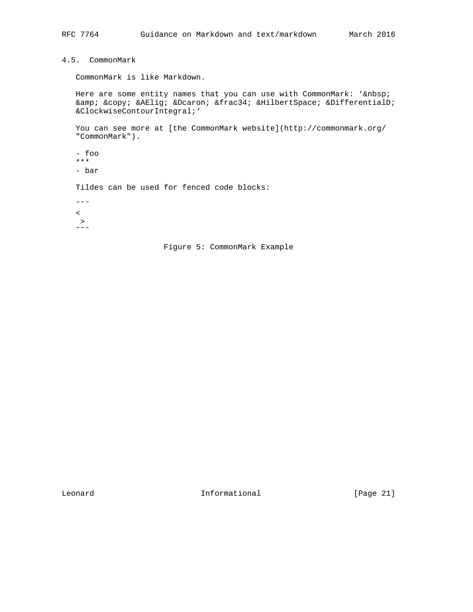## 4.5. CommonMark

CommonMark is like Markdown.

Here are some entity names that you can use with CommonMark: ' & amp; & copy; & AElig; & Dcaron; & frac34; & Hilbert Space; & Differential D; ∲ '

 You can see more at [the CommonMark website](http://commonmark.org/ "CommonMark").

- foo \*\*\*
- bar

Tildes can be used for fenced code blocks:

 $\sim \sim \sim$ 

- $\leq$  $\rightarrow$
- $\sim$   $\sim$   $\sim$



Leonard Informational [Page 21]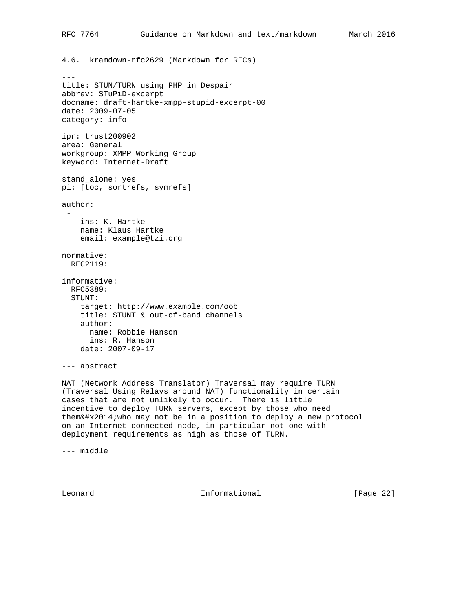```
RFC 7764 Guidance on Markdown and text/markdown March 2016
4.6. kramdown-rfc2629 (Markdown for RFCs)
---
title: STUN/TURN using PHP in Despair
abbrev: STuPiD-excerpt
docname: draft-hartke-xmpp-stupid-excerpt-00
date: 2009-07-05
category: info
ipr: trust200902
area: General
workgroup: XMPP Working Group
keyword: Internet-Draft
stand_alone: yes
pi: [toc, sortrefs, symrefs]
author:
 -
    ins: K. Hartke
    name: Klaus Hartke
    email: example@tzi.org
normative:
  RFC2119:
informative:
  RFC5389:
   STUNT:
    target: http://www.example.com/oob
    title: STUNT & out-of-band channels
     author:
      name: Robbie Hanson
      ins: R. Hanson
     date: 2007-09-17
--- abstract
NAT (Network Address Translator) Traversal may require TURN
```
(Traversal Using Relays around NAT) functionality in certain cases that are not unlikely to occur. There is little incentive to deploy TURN servers, except by those who need them $\&\#x2014$ ; who may not be in a position to deploy a new protocol on an Internet-connected node, in particular not one with deployment requirements as high as those of TURN.

--- middle

Leonard Informational [Page 22]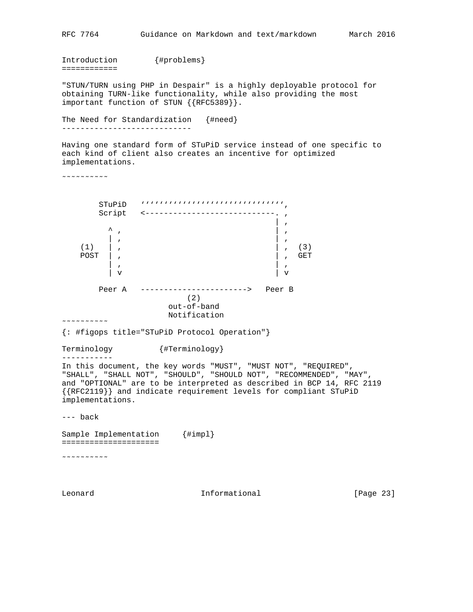```
RFC 7764 Guidance on Markdown and text/markdown March 2016
Introduction {#problems}
============
"STUN/TURN using PHP in Despair" is a highly deployable protocol for
obtaining TURN-like functionality, while also providing the most
important function of STUN {{RFC5389}}.
The Need for Standardization {#need}
----------------------------
Having one standard form of STuPiD service instead of one specific to
each kind of client also creates an incentive for optimized
implementations.
˜˜˜˜˜˜˜˜˜˜
        STuPiD ''''''''''''''''''''''''''''''',
       Script <-----------------------------.,
 | ,
\wedge , \wedge , \wedge , \wedge , \wedge , \wedge , \wedge , \wedge , \wedge , \wedge , \wedge , \wedge , \wedge , \wedge , \wedge , \wedge , \wedge , \wedge , \wedge , \wedge , \wedge , \wedge , \wedge , \wedge , \wedge , \wedge , \wedge , \wedge | , | ,
(1) , (3) POST | , | , GET
 | , | ,
 | v | v
        Peer A -----------------------> Peer B
                       (2)
                      out-of-band
                      Notification
\sim \sim \sim \sim \sim \sim{: #figops title="STuPiD Protocol Operation"}
Terminology {#Terminology}
-----------
In this document, the key words "MUST", "MUST NOT", "REQUIRED",
"SHALL", "SHALL NOT", "SHOULD", "SHOULD NOT", "RECOMMENDED", "MAY",
and "OPTIONAL" are to be interpreted as described in BCP 14, RFC 2119
{{RFC2119}} and indicate requirement levels for compliant STuPiD
implementations.
--- back
Sample Implementation {#impl}
=====================
˜˜˜˜˜˜˜˜˜˜
Leonard Informational Informational [Page 23]
```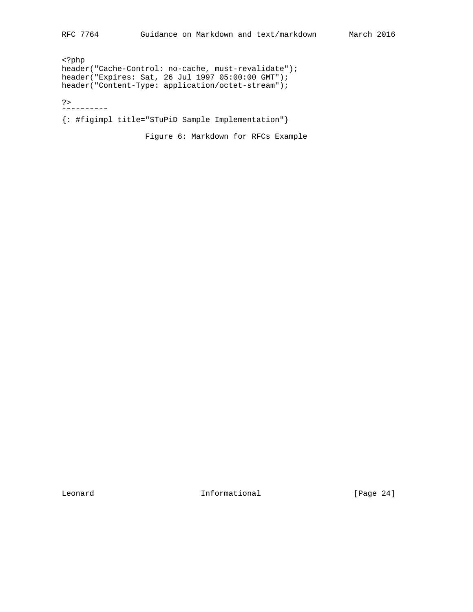<?php header("Cache-Control: no-cache, must-revalidate"); header("Expires: Sat, 26 Jul 1997 05:00:00 GMT"); header("Content-Type: application/octet-stream");

?>  $\sim$   $\sim$   $\sim$   $\sim$   $\sim$   $\sim$   $\sim$ 

{: #figimpl title="STuPiD Sample Implementation"}

Figure 6: Markdown for RFCs Example

Leonard **Informational Informational** [Page 24]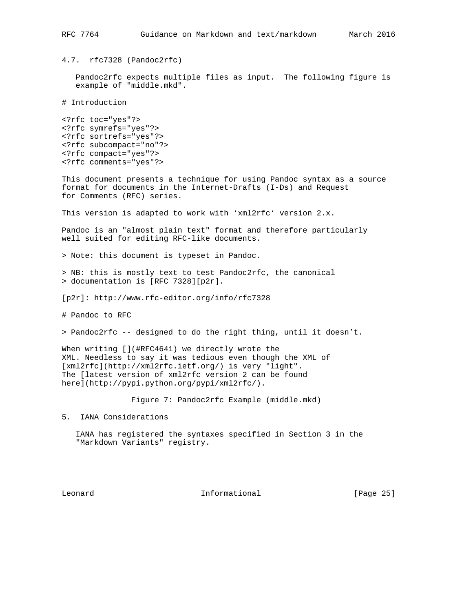4.7. rfc7328 (Pandoc2rfc)

 Pandoc2rfc expects multiple files as input. The following figure is example of "middle.mkd".

# Introduction

<?rfc toc="yes"?> <?rfc symrefs="yes"?> <?rfc sortrefs="yes"?> <?rfc subcompact="no"?> <?rfc compact="yes"?> <?rfc comments="yes"?>

This document presents a technique for using Pandoc syntax as a source format for documents in the Internet-Drafts (I-Ds) and Request for Comments (RFC) series.

This version is adapted to work with 'xml2rfc' version 2.x.

Pandoc is an "almost plain text" format and therefore particularly well suited for editing RFC-like documents.

> Note: this document is typeset in Pandoc.

> NB: this is mostly text to test Pandoc2rfc, the canonical > documentation is [RFC 7328][p2r].

[p2r]: http://www.rfc-editor.org/info/rfc7328

# Pandoc to RFC

> Pandoc2rfc -- designed to do the right thing, until it doesn't.

When writing [](#RFC4641) we directly wrote the XML. Needless to say it was tedious even though the XML of [xml2rfc](http://xml2rfc.ietf.org/) is very "light". The [latest version of xml2rfc version 2 can be found here](http://pypi.python.org/pypi/xml2rfc/).

Figure 7: Pandoc2rfc Example (middle.mkd)

5. IANA Considerations

 IANA has registered the syntaxes specified in Section 3 in the "Markdown Variants" registry.

Leonard **Informational Informational** [Page 25]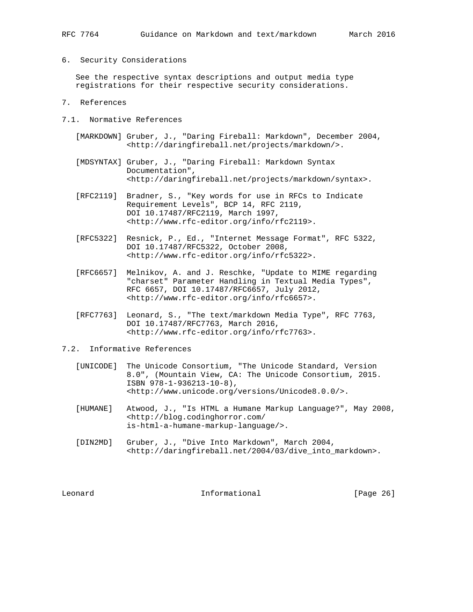## 6. Security Considerations

 See the respective syntax descriptions and output media type registrations for their respective security considerations.

- 7. References
- 7.1. Normative References
	- [MARKDOWN] Gruber, J., "Daring Fireball: Markdown", December 2004, <http://daringfireball.net/projects/markdown/>.
	- [MDSYNTAX] Gruber, J., "Daring Fireball: Markdown Syntax Documentation", <http://daringfireball.net/projects/markdown/syntax>.
	- [RFC2119] Bradner, S., "Key words for use in RFCs to Indicate Requirement Levels", BCP 14, RFC 2119, DOI 10.17487/RFC2119, March 1997, <http://www.rfc-editor.org/info/rfc2119>.
	- [RFC5322] Resnick, P., Ed., "Internet Message Format", RFC 5322, DOI 10.17487/RFC5322, October 2008, <http://www.rfc-editor.org/info/rfc5322>.
	- [RFC6657] Melnikov, A. and J. Reschke, "Update to MIME regarding "charset" Parameter Handling in Textual Media Types", RFC 6657, DOI 10.17487/RFC6657, July 2012, <http://www.rfc-editor.org/info/rfc6657>.
	- [RFC7763] Leonard, S., "The text/markdown Media Type", RFC 7763, DOI 10.17487/RFC7763, March 2016, <http://www.rfc-editor.org/info/rfc7763>.
- 7.2. Informative References
	- [UNICODE] The Unicode Consortium, "The Unicode Standard, Version 8.0", (Mountain View, CA: The Unicode Consortium, 2015. ISBN 978-1-936213-10-8), <http://www.unicode.org/versions/Unicode8.0.0/>.
	- [HUMANE] Atwood, J., "Is HTML a Humane Markup Language?", May 2008, <http://blog.codinghorror.com/ is-html-a-humane-markup-language/>.
	- [DIN2MD] Gruber, J., "Dive Into Markdown", March 2004, <http://daringfireball.net/2004/03/dive\_into\_markdown>.

Leonard Informational [Page 26]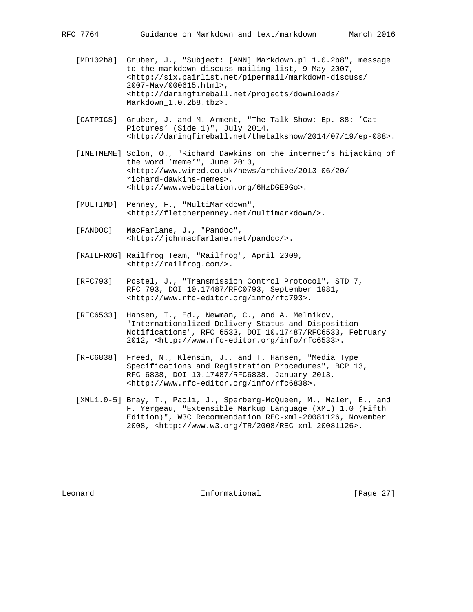- [MD102b8] Gruber, J., "Subject: [ANN] Markdown.pl 1.0.2b8", message to the markdown-discuss mailing list, 9 May 2007, <http://six.pairlist.net/pipermail/markdown-discuss/ 2007-May/000615.html>, <http://daringfireball.net/projects/downloads/ Markdown\_1.0.2b8.tbz>.
- [CATPICS] Gruber, J. and M. Arment, "The Talk Show: Ep. 88: 'Cat Pictures' (Side 1)", July 2014, <http://daringfireball.net/thetalkshow/2014/07/19/ep-088>.
- [INETMEME] Solon, O., "Richard Dawkins on the internet's hijacking of the word 'meme'", June 2013, <http://www.wired.co.uk/news/archive/2013-06/20/ richard-dawkins-memes>, <http://www.webcitation.org/6HzDGE9Go>.
- [MULTIMD] Penney, F., "MultiMarkdown", <http://fletcherpenney.net/multimarkdown/>.
- [PANDOC] MacFarlane, J., "Pandoc", <http://johnmacfarlane.net/pandoc/>.
- [RAILFROG] Railfrog Team, "Railfrog", April 2009, <http://railfrog.com/>.
- [RFC793] Postel, J., "Transmission Control Protocol", STD 7, RFC 793, DOI 10.17487/RFC0793, September 1981, <http://www.rfc-editor.org/info/rfc793>.
- [RFC6533] Hansen, T., Ed., Newman, C., and A. Melnikov, "Internationalized Delivery Status and Disposition Notifications", RFC 6533, DOI 10.17487/RFC6533, February 2012, <http://www.rfc-editor.org/info/rfc6533>.
- [RFC6838] Freed, N., Klensin, J., and T. Hansen, "Media Type Specifications and Registration Procedures", BCP 13, RFC 6838, DOI 10.17487/RFC6838, January 2013, <http://www.rfc-editor.org/info/rfc6838>.
- [XML1.0-5] Bray, T., Paoli, J., Sperberg-McQueen, M., Maler, E., and F. Yergeau, "Extensible Markup Language (XML) 1.0 (Fifth Edition)", W3C Recommendation REC-xml-20081126, November 2008, <http://www.w3.org/TR/2008/REC-xml-20081126>.

Leonard **Informational Informational** [Page 27]